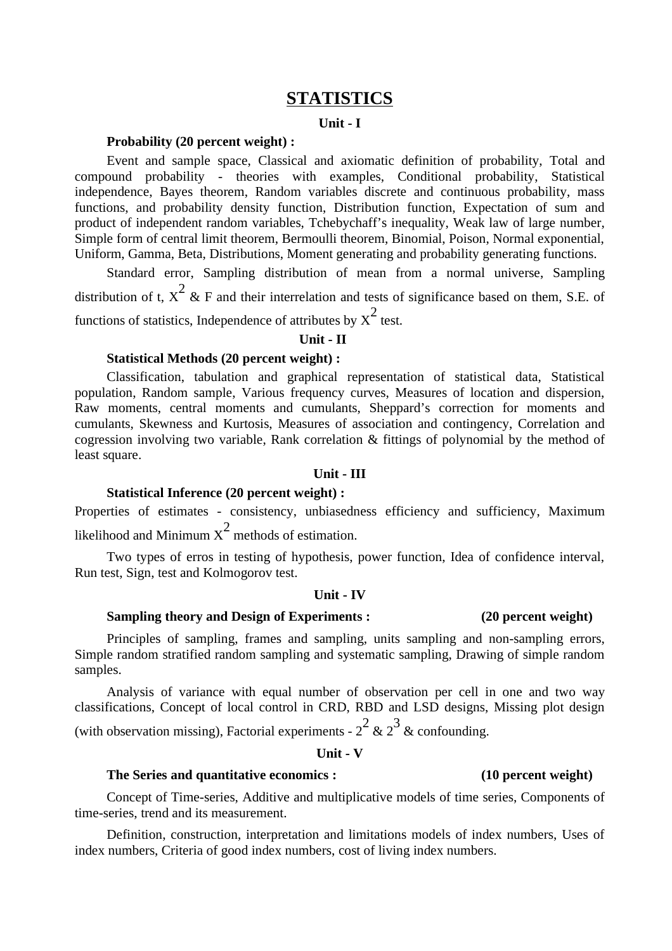# **STATISTICS**

### **Unit - I**

## **Probability (20 percent weight) :**

Event and sample space, Classical and axiomatic definition of probability, Total and compound probability - theories with examples, Conditional probability, Statistical independence, Bayes theorem, Random variables discrete and continuous probability, mass functions, and probability density function, Distribution function, Expectation of sum and product of independent random variables, Tchebychaff's inequality, Weak law of large number, Simple form of central limit theorem, Bermoulli theorem, Binomial, Poison, Normal exponential, Uniform, Gamma, Beta, Distributions, Moment generating and probability generating functions.

Standard error, Sampling distribution of mean from a normal universe, Sampling distribution of t,  $x^2$  & F and their interrelation and tests of significance based on them, S.E. of functions of statistics, Independence of attributes by  $\chi^2$  test.

### **Unit - II**

# **Statistical Methods (20 percent weight) :**

Classification, tabulation and graphical representation of statistical data, Statistical population, Random sample, Various frequency curves, Measures of location and dispersion, Raw moments, central moments and cumulants, Sheppard's correction for moments and cumulants, Skewness and Kurtosis, Measures of association and contingency, Correlation and cogression involving two variable, Rank correlation & fittings of polynomial by the method of least square.

### **Unit - III**

## **Statistical Inference (20 percent weight) :**

Properties of estimates - consistency, unbiasedness efficiency and sufficiency, Maximum likelihood and Minimum  $\rm{x}^2$  methods of estimation.

Two types of erros in testing of hypothesis, power function, Idea of confidence interval, Run test, Sign, test and Kolmogorov test.

### **Unit - IV**

# **Sampling theory and Design of Experiments : (20 percent weight)**

Principles of sampling, frames and sampling, units sampling and non-sampling errors, Simple random stratified random sampling and systematic sampling, Drawing of simple random samples.

Analysis of variance with equal number of observation per cell in one and two way classifications, Concept of local control in CRD, RBD and LSD designs, Missing plot design (with observation missing), Factorial experiments - 2 $^2$  & 2 $^3$  & confounding.

**Unit - V**

## **The Series and quantitative economics : (10 percent weight)**

Concept of Time-series, Additive and multiplicative models of time series, Components of time-series, trend and its measurement.

Definition, construction, interpretation and limitations models of index numbers, Uses of index numbers, Criteria of good index numbers, cost of living index numbers.